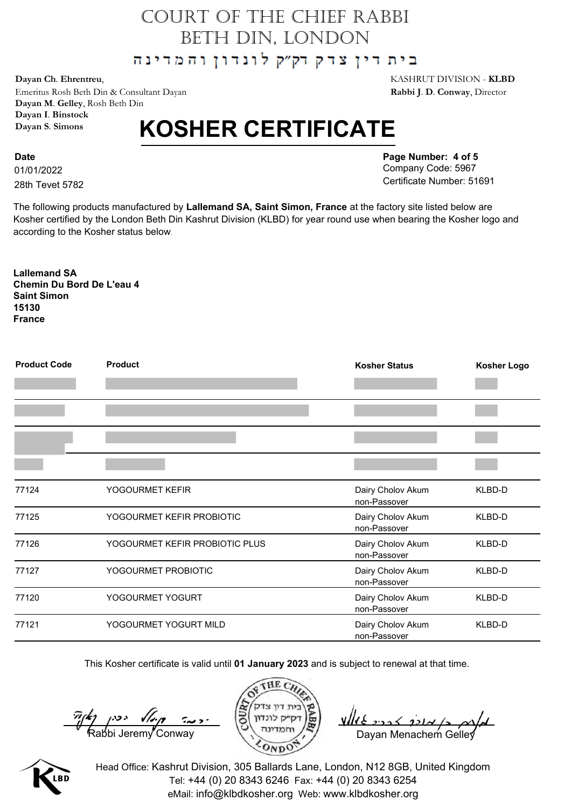## COURT OF THE CHIEF RABBI BETH DIN, LONDON

בית דין צדק דק״ק לונדון והמדינה

Emeritus Rosh Beth Din & Consultant Dayan **Rabbi J**. **D**. **Conway**, Director **Dayan M**. **Gelley**, Rosh Beth Din **Dayan I**. **Binstock Dayan S**. **Simons**

## **KOSHER CERTIFICATE**

01/01/2022 **Date** 28th Tevet 5782 **Page Number: 4 of 5** Company Code: 5967 Certificate Number: 51691

The following products manufactured by **Lallemand SA, Saint Simon, France** at the factory site listed below are Kosher certified by the London Beth Din Kashrut Division (KLBD) for year round use when bearing the Kosher logo and according to the Kosher status below.

**Lallemand SA Chemin Du Bord De L'eau 4 Saint Simon 15130 France**

| <b>Product Code</b> | <b>Product</b>                 | <b>Kosher Status</b>              | <b>Kosher Logo</b> |
|---------------------|--------------------------------|-----------------------------------|--------------------|
|                     |                                |                                   |                    |
|                     |                                |                                   |                    |
|                     |                                |                                   |                    |
| 77124               | YOGOURMET KEFIR                | Dairy Cholov Akum<br>non-Passover | KLBD-D             |
| 77125               | YOGOURMET KEFIR PROBIOTIC      | Dairy Cholov Akum<br>non-Passover | KLBD-D             |
| 77126               | YOGOURMET KEFIR PROBIOTIC PLUS | Dairy Cholov Akum<br>non-Passover | KLBD-D             |
| 77127               | YOGOURMET PROBIOTIC            | Dairy Cholov Akum<br>non-Passover | KLBD-D             |
| 77120               | YOGOURMET YOGURT               | Dairy Cholov Akum<br>non-Passover | KLBD-D             |
| 77121               | YOGOURMET YOGURT MILD          | Dairy Cholov Akum<br>non-Passover | KLBD-D             |

This Kosher certificate is valid until **01 January 2023** and is subject to renewal at that time.

 $\frac{\pi}{k}$   $\left(\frac{k}{2}\right)$   $\left(\frac{k}{2}\right)$   $\left(\frac{k}{2}\right)$   $\left(\frac{k}{2}\right)$   $\left(\frac{k}{2}\right)$   $\left(\frac{k}{2}\right)$   $\left(\frac{k}{2}\right)$   $\left(\frac{k}{2}\right)$   $\left(\frac{k}{2}\right)$   $\left(\frac{k}{2}\right)$   $\left(\frac{k}{2}\right)$   $\left(\frac{k}{2}\right)$   $\left(\frac{k}{2}\right)$   $\left(\frac{k}{2}\right)$  Dayan Menachem Gelley





Head Office: Kashrut Division, 305 Ballards Lane, London, N12 8GB, United Kingdom Tel: +44 (0) 20 8343 6246 Fax: +44 (0) 20 8343 6254 eMail: info@klbdkosher.org Web: www.klbdkosher.org

**Dayan Ch**. **Ehrentreu**, KASHRUT DIVISION - **KLBD**